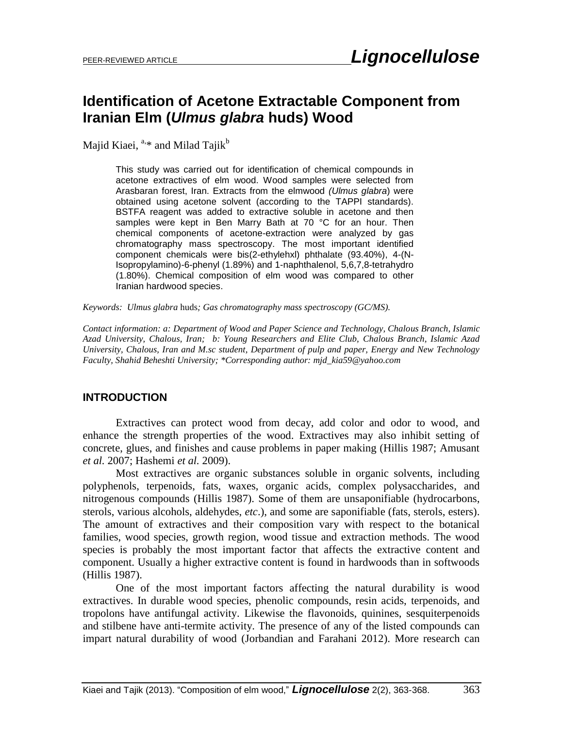# **Identification of Acetone Extractable Component from Iranian Elm (***Ulmus glabra* **huds) Wood**

Majid Kiaei, <sup>a,\*</sup> and Milad Tajik<sup>b</sup>

This study was carried out for identification of chemical compounds in acetone extractives of elm wood. Wood samples were selected from Arasbaran forest, Iran. Extracts from the elmwood *(Ulmus glabra*) were obtained using acetone solvent (according to the TAPPI standards). BSTFA reagent was added to extractive soluble in acetone and then samples were kept in Ben Marry Bath at 70 °C for an hour. Then chemical components of acetone-extraction were analyzed by gas chromatography mass spectroscopy. The most important identified component chemicals were bis(2-ethylehxl) phthalate (93.40%), 4-(N-Isopropylamino)-6-phenyl (1.89%) and 1-naphthalenol, 5,6,7,8-tetrahydro (1.80%). Chemical composition of elm wood was compared to other Iranian hardwood species.

*Keywords: Ulmus glabra* huds*; Gas chromatography mass spectroscopy (GC/MS).* 

*Contact information: a: Department of Wood and Paper Science and Technology, Chalous Branch, Islamic Azad University, Chalous, Iran; b: Young Researchers and Elite Club, Chalous Branch, Islamic Azad University, Chalous, Iran and M.sc student, Department of pulp and paper, Energy and New Technology Faculty, Shahid Beheshti University; \*Corresponding author: [mjd\\_kia59@yahoo.com](mailto:mjd_kia59@yahoo.com)*

## **INTRODUCTION**

Extractives can protect wood from decay, add color and odor to wood, and enhance the strength properties of the wood. Extractives may also inhibit setting of concrete, glues, and finishes and cause problems in paper making (Hillis 1987; Amusant *et al.* 2007; Hashemi *et al.* 2009).

Most extractives are organic substances soluble in organic solvents, including polyphenols, terpenoids, fats, waxes, organic acids, complex polysaccharides, and nitrogenous compounds (Hillis 1987). Some of them are unsaponifiable (hydrocarbons, sterols, various alcohols, aldehydes, *etc*.), and some are saponifiable (fats, sterols, esters). The amount of extractives and their composition vary with respect to the botanical families, wood species, growth region, wood tissue and extraction methods. The wood species is probably the most important factor that affects the extractive content and component. Usually a higher extractive content is found in hardwoods than in softwoods (Hillis 1987).

One of the most important factors affecting the natural durability is wood extractives. In durable wood species, phenolic compounds, resin acids, terpenoids, and tropolons have antifungal activity. Likewise the flavonoids, quinines, sesquiterpenoids and stilbene have anti-termite activity. The presence of any of the listed compounds can impart natural durability of wood (Jorbandian and Farahani 2012). More research can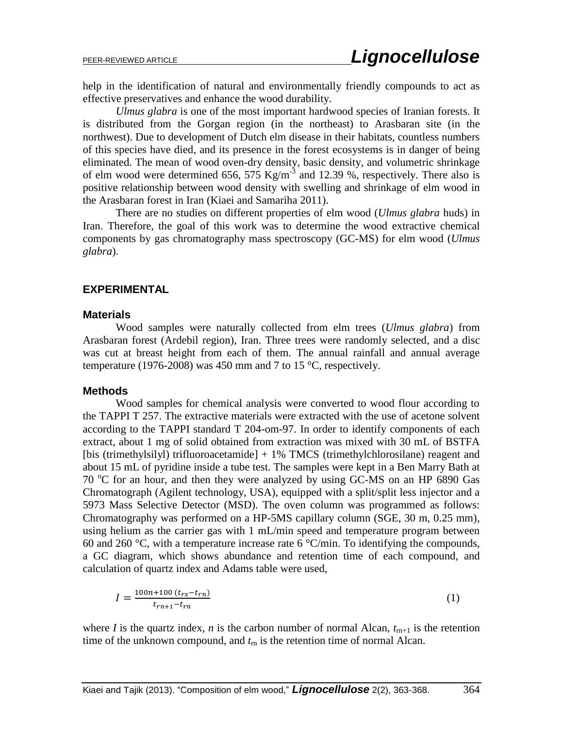help in the identification of natural and environmentally friendly compounds to act as effective preservatives and enhance the wood durability.

*Ulmus glabra* is one of the most important hardwood species of Iranian forests. It is distributed from the Gorgan region (in the northeast) to Arasbaran site (in the northwest). Due to development of Dutch elm disease in their habitats, countless numbers of this species have died, and its presence in the forest ecosystems is in danger of being eliminated. The mean of wood oven-dry density, basic density, and volumetric shrinkage of elm wood were determined 656, 575 Kg/m<sup>-3</sup> and 12.39 %, respectively. There also is positive relationship between wood density with swelling and shrinkage of elm wood in the Arasbaran forest in Iran (Kiaei and Samariha 2011).

There are no studies on different properties of elm wood (*Ulmus glabra* huds) in Iran. Therefore, the goal of this work was to determine the wood extractive chemical components by gas chromatography mass spectroscopy (GC-MS) for elm wood (*Ulmus glabra*).

### **EXPERIMENTAL**

#### **Materials**

Wood samples were naturally collected from elm trees (*Ulmus glabra*) from Arasbaran forest (Ardebil region), Iran. Three trees were randomly selected, and a disc was cut at breast height from each of them. The annual rainfall and annual average temperature (1976-2008) was 450 mm and 7 to 15 °C, respectively.

#### **Methods**

Wood samples for chemical analysis were converted to wood flour according to the TAPPI T 257. The extractive materials were extracted with the use of acetone solvent according to the TAPPI standard T 204-om-97. In order to identify components of each extract, about 1 mg of solid obtained from extraction was mixed with 30 mL of BSTFA [bis (trimethylsilyl) trifluoroacetamide] + 1% TMCS (trimethylchlorosilane) reagent and about 15 mL of pyridine inside a tube test. The samples were kept in a Ben Marry Bath at  $70^{\circ}$ C for an hour, and then they were analyzed by using GC-MS on an HP 6890 Gas Chromatograph (Agilent technology, USA), equipped with a split/split less injector and a 5973 Mass Selective Detector (MSD). The oven column was programmed as follows: Chromatography was performed on a HP-5MS capillary column (SGE, 30 m, 0.25 mm), using helium as the carrier gas with 1 mL/min speed and temperature program between 60 and 260 °C, with a temperature increase rate 6 °C/min. To identifying the compounds, a GC diagram, which shows abundance and retention time of each compound, and calculation of quartz index and Adams table were used,

$$
I = \frac{100n + 100 (t_{rx} - t_{rn})}{t_{rn+1} - t_{rn}}
$$
\n(1)

where *I* is the quartz index, *n* is the carbon number of normal Alcan,  $t_{m+1}$  is the retention time of the unknown compound, and *t*rn is the retention time of normal Alcan.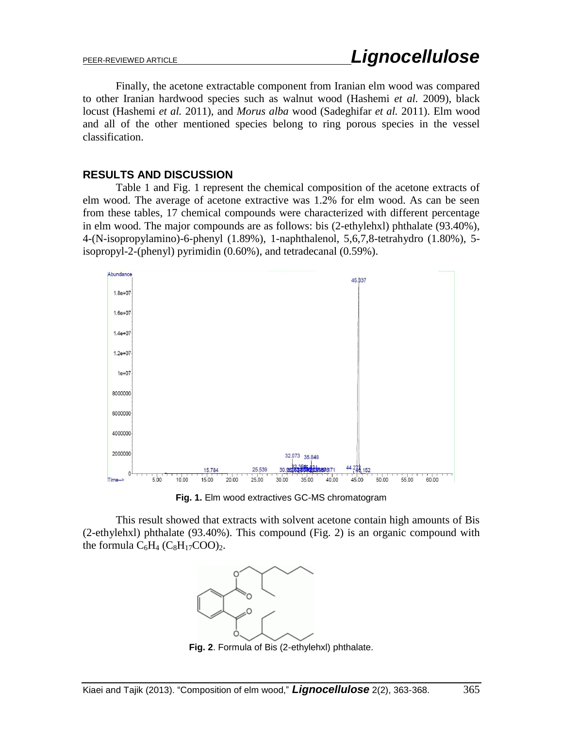Finally, the acetone extractable component from Iranian elm wood was compared to other Iranian hardwood species such as walnut wood (Hashemi *et al.* 2009), black locust (Hashemi *et al.* 2011), and *Morus alba* wood (Sadeghifar *et al.* 2011). Elm wood and all of the other mentioned species belong to ring porous species in the vessel classification.

## **RESULTS AND DISCUSSION**

Table 1 and Fig. 1 represent the chemical composition of the acetone extracts of elm wood. The average of acetone extractive was 1.2% for elm wood. As can be seen from these tables, 17 chemical compounds were characterized with different percentage in elm wood. The major compounds are as follows: bis (2-ethylehxl) phthalate (93.40%), 4-(N-isopropylamino)-6-phenyl (1.89%), 1-naphthalenol, 5,6,7,8-tetrahydro (1.80%), 5 isopropyl-2-(phenyl) pyrimidin (0.60%), and tetradecanal (0.59%).



**Fig. 1.** Elm wood extractives GC-MS chromatogram

This result showed that extracts with solvent acetone contain high amounts of Bis (2-ethylehxl) phthalate (93.40%). This compound (Fig. 2) is an [organic compound](http://en.wikipedia.org/wiki/Organic_compound) with the [formula](http://en.wikipedia.org/wiki/Chemical_formula)  $C_6H_4$  ( $C_8H_{17}COO$ )<sub>2</sub>.



**Fig. 2**. [Formula](http://en.wikipedia.org/wiki/Chemical_formula) of Bis (2-ethylehxl) phthalate.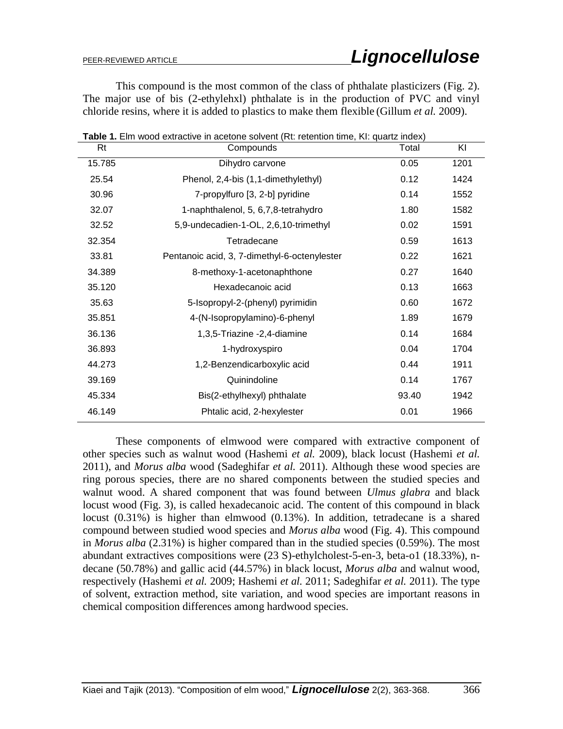This compound is the most common of the class of [phthalate](http://en.wikipedia.org/wiki/Phthalate) plasticizers (Fig. 2). The major use of bis (2-ethylehxl) phthalate is in the production of PVC and vinyl chloride resins, where it is added to plastics to make them flexible (Gillum *et al.* 2009).

**Table 1.** Elm wood extractive in acetone solvent (Rt: retention time, KI: quartz index)

| Rt     | Compounds                                    | Total | KI   |
|--------|----------------------------------------------|-------|------|
| 15.785 | Dihydro carvone                              | 0.05  | 1201 |
| 25.54  | Phenol, 2,4-bis (1,1-dimethylethyl)          | 0.12  | 1424 |
| 30.96  | 7-propylfuro [3, 2-b] pyridine               | 0.14  | 1552 |
| 32.07  | 1-naphthalenol, 5, 6,7,8-tetrahydro          | 1.80  | 1582 |
| 32.52  | 5,9-undecadien-1-OL, 2,6,10-trimethyl        | 0.02  | 1591 |
| 32.354 | Tetradecane                                  | 0.59  | 1613 |
| 33.81  | Pentanoic acid, 3, 7-dimethyl-6-octenylester | 0.22  | 1621 |
| 34.389 | 8-methoxy-1-acetonaphthone                   | 0.27  | 1640 |
| 35.120 | Hexadecanoic acid                            | 0.13  | 1663 |
| 35.63  | 5-Isopropyl-2-(phenyl) pyrimidin             | 0.60  | 1672 |
| 35.851 | 4-(N-Isopropylamino)-6-phenyl                | 1.89  | 1679 |
| 36.136 | 1,3,5-Triazine -2,4-diamine                  | 0.14  | 1684 |
| 36.893 | 1-hydroxyspiro                               | 0.04  | 1704 |
| 44.273 | 1,2-Benzendicarboxylic acid                  | 0.44  | 1911 |
| 39.169 | Quinindoline                                 | 0.14  | 1767 |
| 45.334 | Bis(2-ethylhexyl) phthalate                  | 93.40 | 1942 |
| 46.149 | Phtalic acid, 2-hexylester                   | 0.01  | 1966 |
|        |                                              |       |      |

These components of elmwood were compared with extractive component of other species such as walnut wood (Hashemi *et al.* 2009), black locust (Hashemi *et al.*

2011), and *Morus alba* wood (Sadeghifar *et al.* 2011). Although these wood species are ring porous species, there are no shared components between the studied species and walnut wood. A shared component that was found between *Ulmus glabra* and black locust wood (Fig. 3), is called hexadecanoic acid. The content of this compound in black locust (0.31%) is higher than elmwood (0.13%). In addition, tetradecane is a shared compound between studied wood species and *Morus alba* wood (Fig. 4). This compound in *Morus alba* (2.31%) is higher compared than in the studied species (0.59%). The most abundant extractives compositions were (23 S)-ethylcholest-5-en-3, beta-o1 (18.33%), ndecane (50.78%) and gallic acid (44.57%) in black locust, *Morus alba* and walnut wood, respectively (Hashemi *et al.* 2009; Hashemi *et al.* 2011; Sadeghifar *et al.* 2011). The type of solvent, extraction method, site variation, and wood species are important reasons in chemical composition differences among hardwood species.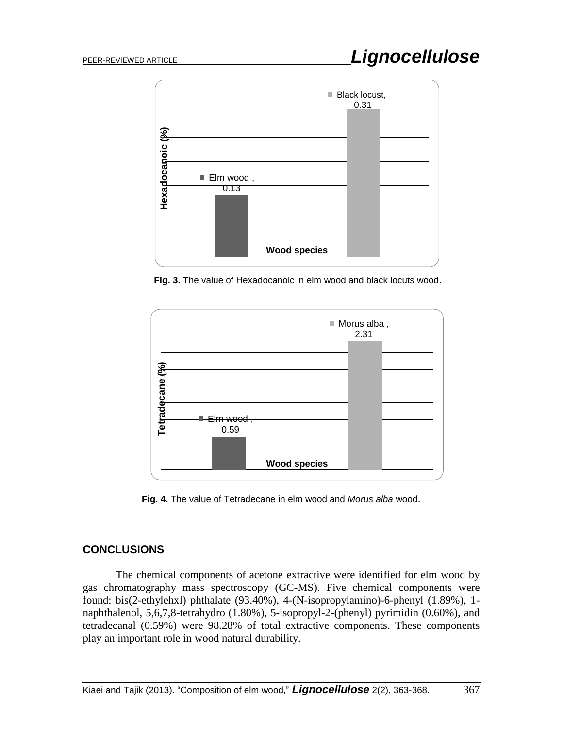

**Fig. 3.** The value of Hexadocanoic in elm wood and black locuts wood.



**Fig. 4.** The value of Tetradecane in elm wood and *Morus alba* wood.

## **CONCLUSIONS**

The chemical components of acetone extractive were identified for elm wood by gas chromatography mass spectroscopy (GC-MS). Five chemical components were found: bis(2-ethylehxl) phthalate (93.40%), 4-(N-isopropylamino)-6-phenyl (1.89%), 1 naphthalenol, 5,6,7,8-tetrahydro (1.80%), 5-isopropyl-2-(phenyl) pyrimidin (0.60%), and tetradecanal (0.59%) were 98.28% of total extractive components. These components play an important role in wood natural durability.